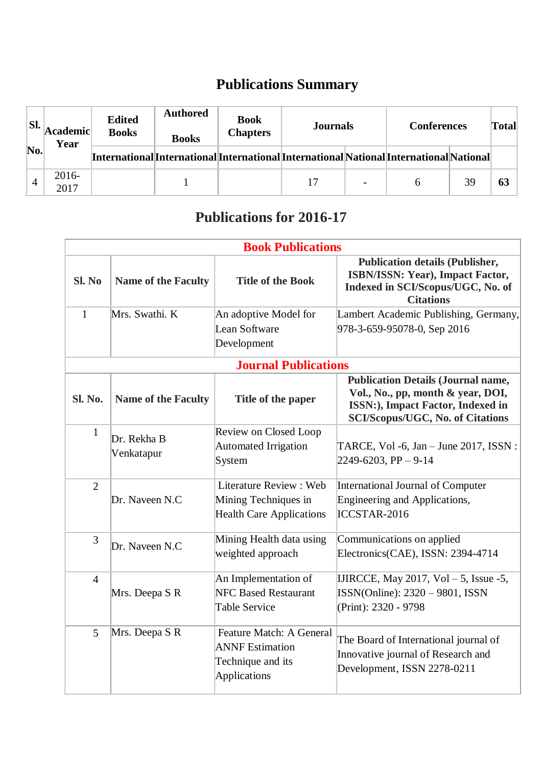## **Publications Summary**

| SI.       | Academic <br>Year | <b>Edited</b><br><b>Books</b> | <b>Authored</b><br><b>Books</b> | <b>Book</b><br><b>Chapters</b> | <b>Journals</b>                                                                          |                          | <b>Conferences</b> |    | Total |
|-----------|-------------------|-------------------------------|---------------------------------|--------------------------------|------------------------------------------------------------------------------------------|--------------------------|--------------------|----|-------|
| $\bf No.$ |                   |                               |                                 |                                | [International]International International International National International National |                          |                    |    |       |
| 4         | 2016-<br>2017     |                               |                                 |                                | 17                                                                                       | $\overline{\phantom{0}}$ |                    | 39 | 63    |

## **Publications for 2016-17**

| <b>Book Publications</b> |                            |                                                                                                       |                                                                                                                                                                |  |  |
|--------------------------|----------------------------|-------------------------------------------------------------------------------------------------------|----------------------------------------------------------------------------------------------------------------------------------------------------------------|--|--|
| Sl. No                   | <b>Name of the Faculty</b> | <b>Title of the Book</b>                                                                              | <b>Publication details (Publisher,</b><br>ISBN/ISSN: Year), Impact Factor,<br>Indexed in SCI/Scopus/UGC, No. of<br><b>Citations</b>                            |  |  |
| $\mathbf{1}$             | Mrs. Swathi. K             | An adoptive Model for                                                                                 | Lambert Academic Publishing, Germany,                                                                                                                          |  |  |
|                          |                            | Lean Software                                                                                         | 978-3-659-95078-0, Sep 2016                                                                                                                                    |  |  |
|                          |                            | Development                                                                                           |                                                                                                                                                                |  |  |
|                          |                            | <b>Journal Publications</b>                                                                           |                                                                                                                                                                |  |  |
| <b>Sl. No.</b>           | <b>Name of the Faculty</b> | Title of the paper                                                                                    | <b>Publication Details (Journal name,</b><br>Vol., No., pp, month & year, DOI,<br>ISSN:), Impact Factor, Indexed in<br><b>SCI/Scopus/UGC, No. of Citations</b> |  |  |
| $\mathbf{1}$             | Dr. Rekha B<br>Venkatapur  | Review on Closed Loop<br><b>Automated Irrigation</b><br>System                                        | TARCE, Vol -6, Jan - June 2017, ISSN :<br>$2249 - 6203$ , PP $-9-14$                                                                                           |  |  |
| 2                        | Dr. Naveen N.C             | Literature Review: Web<br>Mining Techniques in<br><b>Health Care Applications</b>                     | International Journal of Computer<br>Engineering and Applications,<br>ICCSTAR-2016                                                                             |  |  |
| 3                        | Dr. Naveen N.C             | Mining Health data using<br>weighted approach                                                         | Communications on applied<br>Electronics(CAE), ISSN: 2394-4714                                                                                                 |  |  |
| $\overline{4}$           | Mrs. Deepa S R             | An Implementation of<br><b>NFC Based Restaurant</b><br><b>Table Service</b>                           | IJIRCCE, May 2017, Vol $-5$ , Issue -5,<br>$ISSN(Online): 2320 - 9801, ISSN$<br>(Print): 2320 - 9798                                                           |  |  |
| 5                        | Mrs. Deepa S R             | <b>Feature Match: A General</b><br><b>ANNF</b> Estimation<br>Technique and its<br><b>Applications</b> | The Board of International journal of<br>Innovative journal of Research and<br>Development, ISSN 2278-0211                                                     |  |  |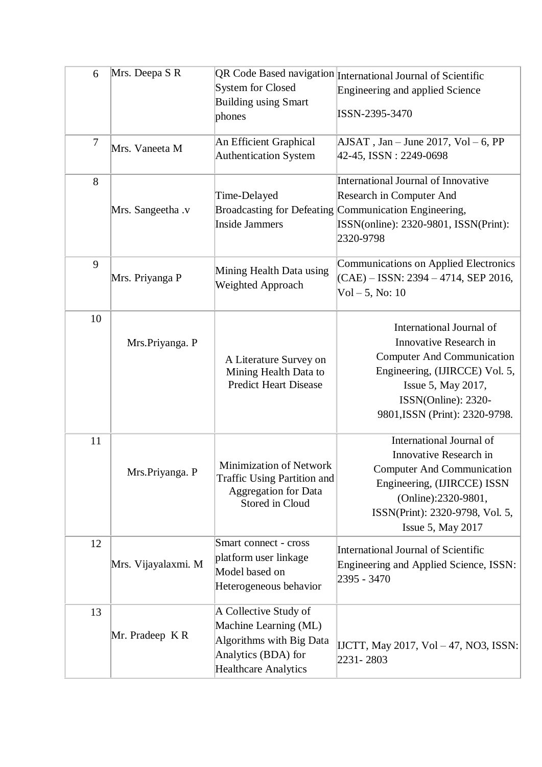| 6  | Mrs. Deepa S R      | <b>System for Closed</b><br><b>Building using Smart</b><br>phones                                                                | QR Code Based navigation International Journal of Scientific<br><b>Engineering and applied Science</b><br>ISSN-2395-3470                                                                                 |
|----|---------------------|----------------------------------------------------------------------------------------------------------------------------------|----------------------------------------------------------------------------------------------------------------------------------------------------------------------------------------------------------|
| 7  | Mrs. Vaneeta M      | An Efficient Graphical<br><b>Authentication System</b>                                                                           | $AJSAT$ , Jan – June 2017, Vol – 6, PP<br>42-45, ISSN : 2249-0698                                                                                                                                        |
| 8  | Mrs. Sangeetha .v   | Time-Delayed<br><b>Inside Jammers</b>                                                                                            | <b>International Journal of Innovative</b><br>Research in Computer And<br>Broadcasting for Defeating Communication Engineering,<br>ISSN(online): 2320-9801, ISSN(Print):<br>2320-9798                    |
| 9  | Mrs. Priyanga P     | Mining Health Data using<br>Weighted Approach                                                                                    | Communications on Applied Electronics<br>$(CAE) - ISSN: 2394 - 4714, SEP 2016,$<br>$Vol - 5$ , No: 10                                                                                                    |
| 10 | Mrs.Priyanga. P     | A Literature Survey on<br>Mining Health Data to<br><b>Predict Heart Disease</b>                                                  | International Journal of<br>Innovative Research in<br><b>Computer And Communication</b><br>Engineering, (IJIRCCE) Vol. 5,<br>Issue 5, May 2017,<br>ISSN(Online): 2320-<br>9801, ISSN (Print): 2320-9798. |
| 11 | Mrs.Priyanga. P     | Minimization of Network<br><b>Traffic Using Partition and</b><br><b>Aggregation for Data</b><br>Stored in Cloud                  | International Journal of<br>Innovative Research in<br><b>Computer And Communication</b><br>Engineering, (IJIRCCE) ISSN<br>(Online):2320-9801,<br>ISSN(Print): 2320-9798, Vol. 5,<br>Issue 5, May 2017    |
| 12 | Mrs. Vijayalaxmi. M | Smart connect - cross<br>platform user linkage<br>Model based on<br>Heterogeneous behavior                                       | <b>International Journal of Scientific</b><br><b>Engineering and Applied Science, ISSN:</b><br>2395 - 3470                                                                                               |
| 13 | Mr. Pradeep KR      | A Collective Study of<br>Machine Learning (ML)<br>Algorithms with Big Data<br>Analytics (BDA) for<br><b>Healthcare Analytics</b> | IJCTT, May 2017, Vol – 47, NO3, ISSN:<br>2231-2803                                                                                                                                                       |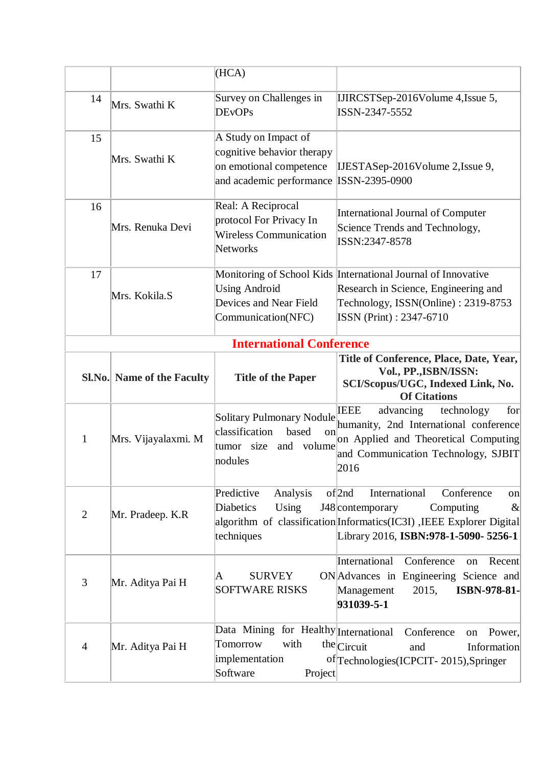|                |                                   | (HCA)                                                                                                     |                                                                                                                                                                                                              |
|----------------|-----------------------------------|-----------------------------------------------------------------------------------------------------------|--------------------------------------------------------------------------------------------------------------------------------------------------------------------------------------------------------------|
| 14             | Mrs. Swathi K                     | Survey on Challenges in<br><b>DEvOPs</b>                                                                  | IJIRCSTSep-2016Volume 4, Issue 5,<br>ISSN-2347-5552                                                                                                                                                          |
| 15             | Mrs. Swathi K                     | A Study on Impact of<br>cognitive behavior therapy<br>on emotional competence<br>and academic performance | IJESTASep-2016Volume 2, Issue 9,<br>ISSN-2395-0900                                                                                                                                                           |
| 16             | Mrs. Renuka Devi                  | Real: A Reciprocal<br>protocol For Privacy In<br><b>Wireless Communication</b><br>Networks                | <b>International Journal of Computer</b><br>Science Trends and Technology,<br>ISSN:2347-8578                                                                                                                 |
| 17             | Mrs. Kokila.S                     | <b>Using Android</b><br>Devices and Near Field<br>Communication(NFC)                                      | Monitoring of School Kids International Journal of Innovative<br>Research in Science, Engineering and<br>Technology, ISSN(Online): 2319-8753<br>ISSN (Print): 2347-6710                                      |
|                |                                   | <b>International Conference</b>                                                                           |                                                                                                                                                                                                              |
|                | <b>Sl.No.</b> Name of the Faculty | <b>Title of the Paper</b>                                                                                 | Title of Conference, Place, Date, Year,<br>Vol., PP., ISBN/ISSN:<br>SCI/Scopus/UGC, Indexed Link, No.<br><b>Of Citations</b>                                                                                 |
| 1              | Mrs. Vijayalaxmi. M               | Solitary Pulmonary Nodule<br>classification<br>based<br>on<br>tumor size and volume<br>nodules            | <b>IEEE</b><br>advancing<br>technology<br>for<br>humanity, 2nd International conference<br>on Applied and Theoretical Computing<br>and Communication Technology, SJBIT<br>2016                               |
| $\overline{2}$ | Mr. Pradeep. K.R                  | Analysis<br>Predictive<br>Using<br><b>Diabetics</b><br>techniques                                         | $of$ 2nd<br>International<br>Conference<br>on<br>J48 contemporary<br>Computing<br>$\infty$<br>algorithm of classification Informatics (IC3I), IEEE Explorer Digital<br>Library 2016, ISBN:978-1-5090- 5256-1 |
| 3              | Mr. Aditya Pai H                  | <b>SURVEY</b><br>A<br><b>SOFTWARE RISKS</b>                                                               | Conference<br>International<br>Recent<br>on<br>ON Advances in Engineering Science and<br>ISBN-978-81-<br>Management<br>2015,<br>931039-5-1                                                                   |
| $\overline{4}$ | Mr. Aditya Pai H                  | Data Mining for Healthy International<br>with<br>Tomorrow<br>implementation<br>Software<br>Project        | Conference<br>Power,<br>on<br>$the$ Circuit<br>Information<br>and<br>of Technologies (ICPCIT - 2015), Springer                                                                                               |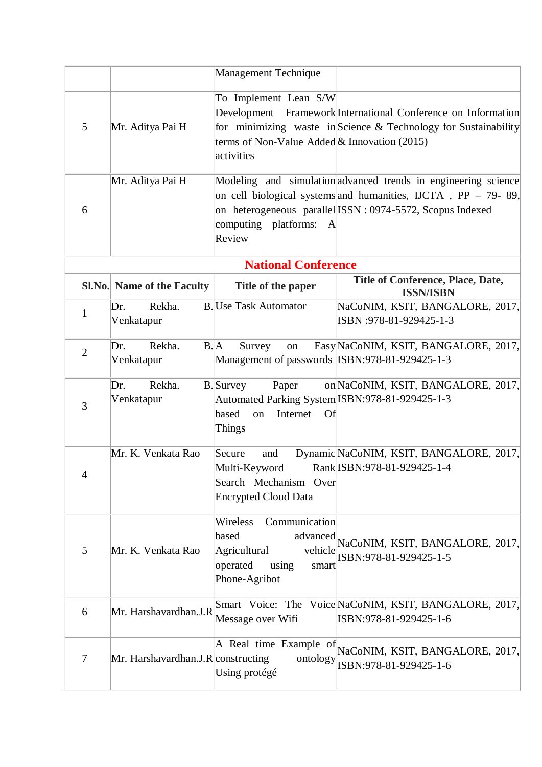|                |                                    | <b>Management Technique</b>                                                                                                    |                                                                                                                                                                                                    |
|----------------|------------------------------------|--------------------------------------------------------------------------------------------------------------------------------|----------------------------------------------------------------------------------------------------------------------------------------------------------------------------------------------------|
| 5              | Mr. Aditya Pai H                   | To Implement Lean S/W<br>terms of Non-Value Added & Innovation (2015)<br>activities                                            | Development Framework International Conference on Information<br>for minimizing waste in Science $\&$ Technology for Sustainability                                                                |
| 6              | Mr. Aditya Pai H                   | computing platforms: A<br>Review                                                                                               | Modeling and simulation advanced trends in engineering science<br>on cell biological systems and humanities, IJCTA, $PP - 79 - 89$ ,<br>on heterogeneous parallel ISSN : 0974-5572, Scopus Indexed |
|                |                                    | <b>National Conference</b>                                                                                                     |                                                                                                                                                                                                    |
|                | Sl.No. Name of the Faculty         | Title of the paper                                                                                                             | <b>Title of Conference, Place, Date,</b><br><b>ISSN/ISBN</b>                                                                                                                                       |
| $\mathbf{1}$   | Rekha.<br>Dr.<br>Venkatapur        | <b>B.</b> Use Task Automator                                                                                                   | NaCoNIM, KSIT, BANGALORE, 2017,<br>ISBN: 978-81-929425-1-3                                                                                                                                         |
| $\overline{2}$ | Rekha.<br>B.A<br>Dr.<br>Venkatapur | Survey<br>on<br>Management of passwords ISBN:978-81-929425-1-3                                                                 | Easy NaCoNIM, KSIT, BANGALORE, 2017,                                                                                                                                                               |
| 3              | Dr.<br>Rekha.<br>Venkatapur        | <b>B.</b> Survey<br>Paper<br>Automated Parking System ISBN:978-81-929425-1-3<br>based<br>Internet<br><b>Of</b><br>on<br>Things | on NaCoNIM, KSIT, BANGALORE, 2017,                                                                                                                                                                 |
| 4              | Mr. K. Venkata Rao                 | Secure<br>and<br>Multi-Keyword<br>Search Mechanism Over<br><b>Encrypted Cloud Data</b>                                         | Dynamic NaCoNIM, KSIT, BANGALORE, 2017,<br>Rank ISBN: 978-81-929425-1-4                                                                                                                            |
| 5              | Mr. K. Venkata Rao                 | Communication<br>Wireless<br>based<br>advanced<br>Agricultural<br>vehicle<br>operated<br>using<br>smart<br>Phone-Agribot       | NaCoNIM, KSIT, BANGALORE, 2017,<br>ISBN:978-81-929425-1-5                                                                                                                                          |
| 6              | Mr. Harshavardhan.J.R              | Message over Wifi                                                                                                              | Smart Voice: The Voice NaCoNIM, KSIT, BANGALORE, 2017,<br>ISBN:978-81-929425-1-6                                                                                                                   |
| 7              | Mr. Harshavardhan.J.R constructing | ontology<br>Using protégé                                                                                                      | A Real time Example of NaCoNIM, KSIT, BANGALORE, 2017,<br>ISBN:978-81-929425-1-6                                                                                                                   |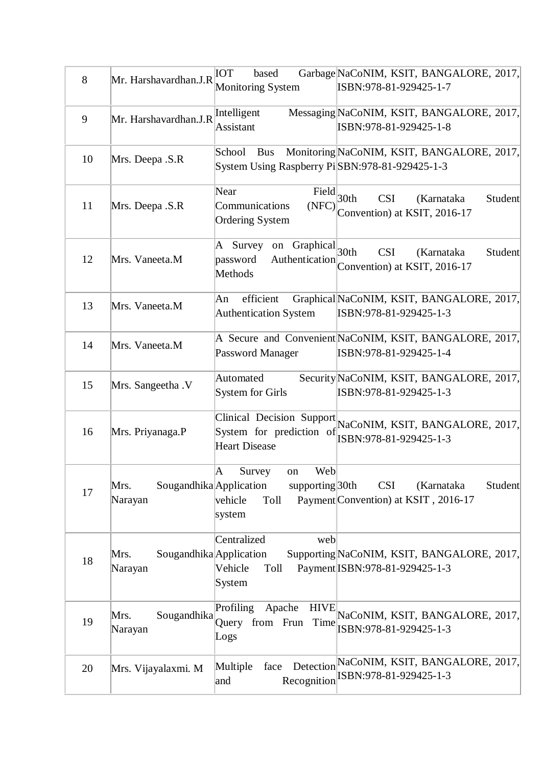| 8  | Mr. Harshavardhan.J.R                      | IOT<br>based<br><b>Monitoring System</b>                                                    | Garbage NaCoNIM, KSIT, BANGALORE, 2017,<br>ISBN:978-81-929425-1-7                   |
|----|--------------------------------------------|---------------------------------------------------------------------------------------------|-------------------------------------------------------------------------------------|
|    |                                            |                                                                                             | Messaging NaCoNIM, KSIT, BANGALORE, 2017,                                           |
| 9  | Mr. Harshavardhan.J.R                      | Intelligent<br>Assistant                                                                    | ISBN:978-81-929425-1-8                                                              |
| 10 | Mrs. Deepa .S.R                            | School<br><b>Bus</b><br>System Using Raspberry Pi SBN:978-81-929425-1-3                     | Monitoring NaCoNIM, KSIT, BANGALORE, 2017,                                          |
| 11 | Mrs. Deepa .S.R                            | Near<br>$\overline{\text{Field}}$ 30th<br>Communications<br>(NFC)<br><b>Ordering System</b> | (Karnataka<br>Student<br><b>CSI</b><br>Convention) at KSIT, 2016-17                 |
| 12 | Mrs. Vaneeta.M                             | Graphical <sub>30th</sub><br>A Survey on<br>Authentication<br>password<br>Methods           | <b>CSI</b><br>(Karnataka<br>Student<br>Convention) at KSIT, 2016-17                 |
| 13 | Mrs. Vaneeta.M                             | An<br>efficient<br><b>Authentication System</b>                                             | Graphical NaCoNIM, KSIT, BANGALORE, 2017,<br>ISBN:978-81-929425-1-3                 |
| 14 | Mrs. Vaneeta.M                             | Password Manager                                                                            | A Secure and Convenient NaCoNIM, KSIT, BANGALORE, 2017,<br>ISBN:978-81-929425-1-4   |
| 15 | Mrs. Sangeetha .V                          | Automated<br>System for Girls                                                               | Security NaCoNIM, KSIT, BANGALORE, 2017,<br>ISBN:978-81-929425-1-3                  |
| 16 | Mrs. Priyanaga.P                           | System for prediction of<br><b>Heart Disease</b>                                            | Clinical Decision Support NaCoNIM, KSIT, BANGALORE, 2017,<br>ISBN:978-81-929425-1-3 |
| 17 | Sougandhika Application<br>Mrs.<br>Narayan | A<br>Web<br>Survey<br>on<br>supporting $30th$<br>vehicle<br>Toll<br>system                  | <b>CSI</b><br>Student<br>(Karnataka<br>Payment Convention) at KSIT, 2016-17         |
| 18 | Sougandhika Application<br>Mrs.<br>Narayan | Centralized<br>web<br>Vehicle<br>Toll<br>System                                             | Supporting NaCoNIM, KSIT, BANGALORE, 2017,<br>Payment ISBN: 978-81-929425-1-3       |
| 19 | Sougandhika<br>Mrs.<br>Narayan             | Profiling<br>Apache<br><b>HIVE</b><br>from Frun<br>Time<br>Query<br>Logs                    | NaCoNIM, KSIT, BANGALORE, 2017,<br>ISBN:978-81-929425-1-3                           |
| 20 | Mrs. Vijayalaxmi. M                        | Multiple<br>face<br>and                                                                     | Detection NaCoNIM, KSIT, BANGALORE, 2017,<br>Recognition ISBN:978-81-929425-1-3     |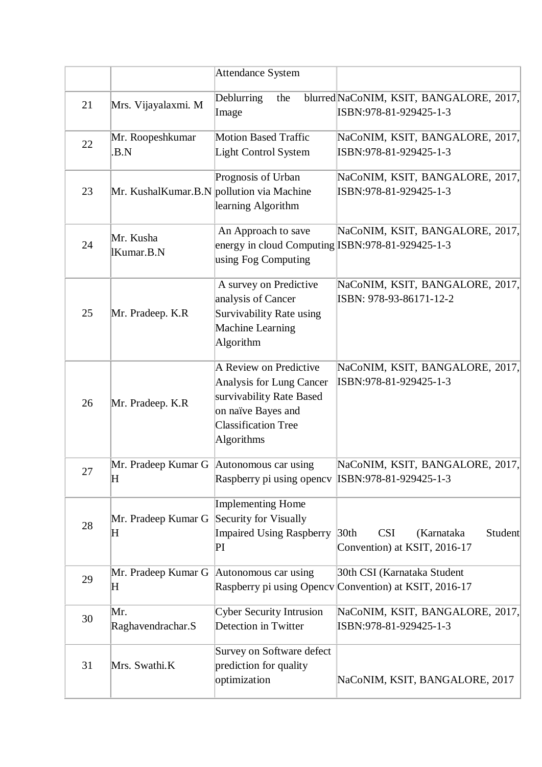|    |                                                         | <b>Attendance System</b>                                                                                                                         |                                                                                         |
|----|---------------------------------------------------------|--------------------------------------------------------------------------------------------------------------------------------------------------|-----------------------------------------------------------------------------------------|
| 21 | Mrs. Vijayalaxmi. M                                     | Deblurring<br>the<br>Image                                                                                                                       | blurred NaCoNIM, KSIT, BANGALORE, 2017,<br>ISBN:978-81-929425-1-3                       |
| 22 | Mr. Roopeshkumar<br>.B.N                                | <b>Motion Based Traffic</b><br>Light Control System                                                                                              | NaCoNIM, KSIT, BANGALORE, 2017,<br>ISBN:978-81-929425-1-3                               |
| 23 | Mr. KushalKumar.B.N pollution via Machine               | Prognosis of Urban<br>learning Algorithm                                                                                                         | NaCoNIM, KSIT, BANGALORE, 2017,<br>ISBN:978-81-929425-1-3                               |
| 24 | Mr. Kusha<br>IKumar.B.N                                 | An Approach to save<br>energy in cloud Computing ISBN:978-81-929425-1-3<br>using Fog Computing                                                   | NaCoNIM, KSIT, BANGALORE, 2017,                                                         |
| 25 | Mr. Pradeep. K.R                                        | A survey on Predictive<br>analysis of Cancer<br>Survivability Rate using<br>Machine Learning<br>Algorithm                                        | NaCoNIM, KSIT, BANGALORE, 2017,<br>ISBN: 978-93-86171-12-2                              |
| 26 | Mr. Pradeep. K.R                                        | A Review on Predictive<br>Analysis for Lung Cancer<br>survivability Rate Based<br>on naïve Bayes and<br><b>Classification Tree</b><br>Algorithms | NaCoNIM, KSIT, BANGALORE, 2017,<br>ISBN:978-81-929425-1-3                               |
| 27 | Mr. Pradeep Kumar G Autonomous car using<br>$\mathbf H$ | Raspberry pi using opency ISBN:978-81-929425-1-3                                                                                                 | NaCoNIM, KSIT, BANGALORE, 2017,                                                         |
| 28 | Mr. Pradeep Kumar G<br>$\mathbf H$                      | Implementing Home<br>Security for Visually<br><b>Impaired Using Raspberry</b><br>$\rm{PI}$                                                       | <b>CSI</b><br>Student<br>30 <sub>th</sub><br>(Karnataka<br>Convention) at KSIT, 2016-17 |
| 29 | Mr. Pradeep Kumar G<br>$\mathbf H$                      | Autonomous car using                                                                                                                             | 30th CSI (Karnataka Student<br>Raspberry pi using Opency Convention) at KSIT, 2016-17   |
| 30 | Mr.<br>Raghavendrachar.S                                | <b>Cyber Security Intrusion</b><br>Detection in Twitter                                                                                          | NaCoNIM, KSIT, BANGALORE, 2017,<br>ISBN:978-81-929425-1-3                               |
| 31 | Mrs. Swathi.K                                           | Survey on Software defect<br>prediction for quality<br>optimization                                                                              | NaCoNIM, KSIT, BANGALORE, 2017                                                          |